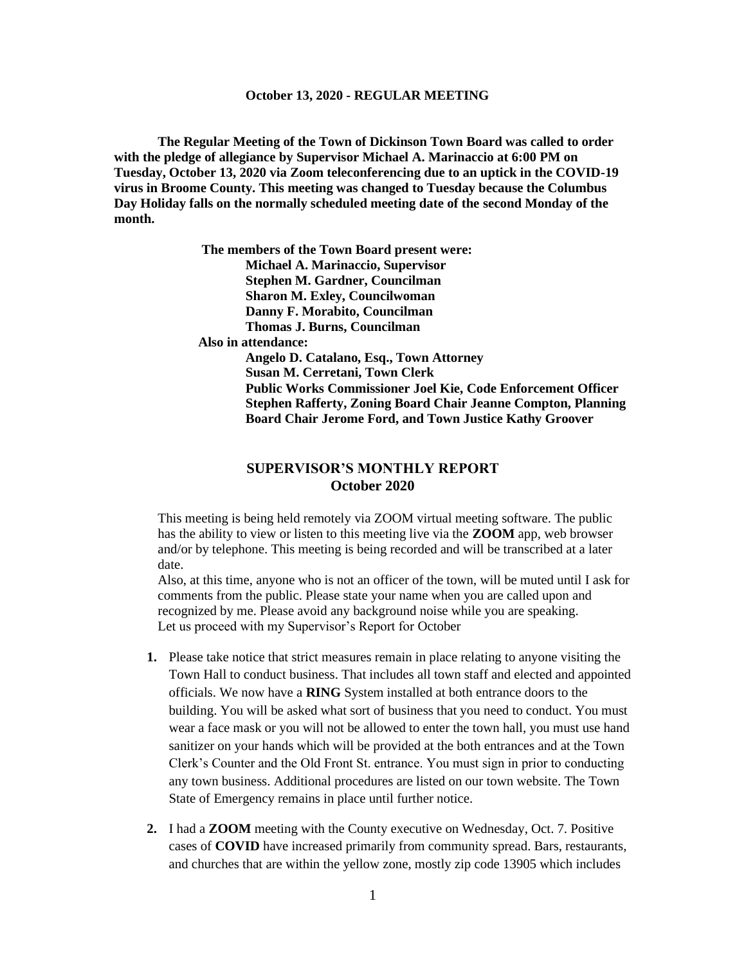**The Regular Meeting of the Town of Dickinson Town Board was called to order with the pledge of allegiance by Supervisor Michael A. Marinaccio at 6:00 PM on Tuesday, October 13, 2020 via Zoom teleconferencing due to an uptick in the COVID-19 virus in Broome County. This meeting was changed to Tuesday because the Columbus Day Holiday falls on the normally scheduled meeting date of the second Monday of the month.**

> **The members of the Town Board present were: Michael A. Marinaccio, Supervisor Stephen M. Gardner, Councilman Sharon M. Exley, Councilwoman Danny F. Morabito, Councilman Thomas J. Burns, Councilman Also in attendance: Angelo D. Catalano, Esq., Town Attorney Susan M. Cerretani, Town Clerk Public Works Commissioner Joel Kie, Code Enforcement Officer Stephen Rafferty, Zoning Board Chair Jeanne Compton, Planning Board Chair Jerome Ford, and Town Justice Kathy Groover**

# **SUPERVISOR'S MONTHLY REPORT October 2020**

This meeting is being held remotely via ZOOM virtual meeting software. The public has the ability to view or listen to this meeting live via the **ZOOM** app, web browser and/or by telephone. This meeting is being recorded and will be transcribed at a later date.

Also, at this time, anyone who is not an officer of the town, will be muted until I ask for comments from the public. Please state your name when you are called upon and recognized by me. Please avoid any background noise while you are speaking. Let us proceed with my Supervisor's Report for October

- **1.** Please take notice that strict measures remain in place relating to anyone visiting the Town Hall to conduct business. That includes all town staff and elected and appointed officials. We now have a **RING** System installed at both entrance doors to the building. You will be asked what sort of business that you need to conduct. You must wear a face mask or you will not be allowed to enter the town hall, you must use hand sanitizer on your hands which will be provided at the both entrances and at the Town Clerk's Counter and the Old Front St. entrance. You must sign in prior to conducting any town business. Additional procedures are listed on our town website. The Town State of Emergency remains in place until further notice.
- **2.** I had a **ZOOM** meeting with the County executive on Wednesday, Oct. 7. Positive cases of **COVID** have increased primarily from community spread. Bars, restaurants, and churches that are within the yellow zone, mostly zip code 13905 which includes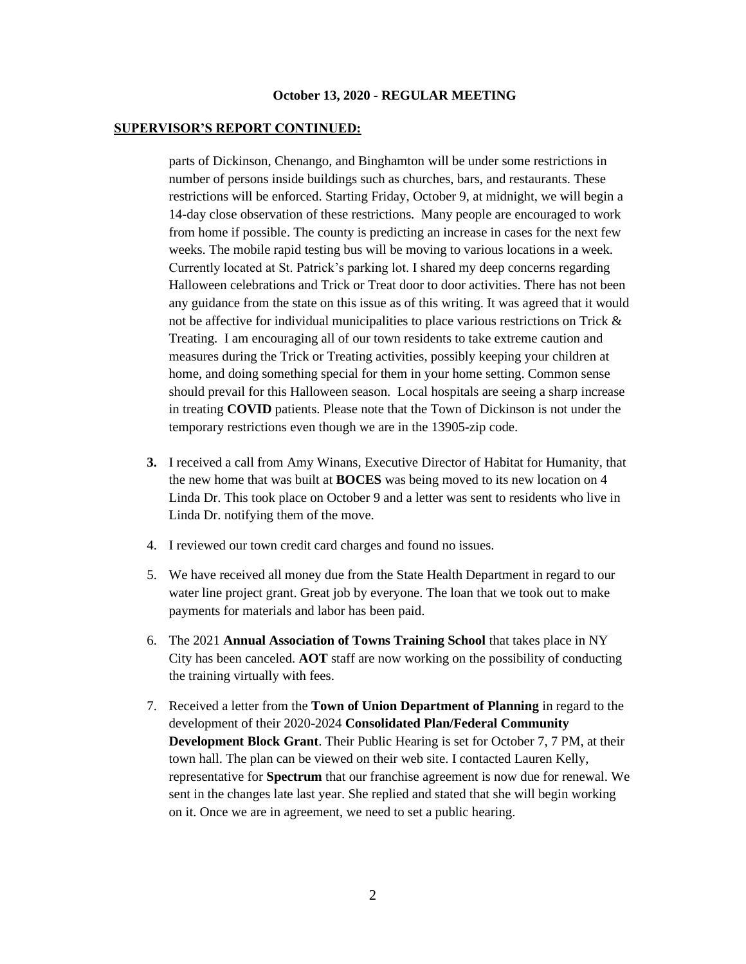### **SUPERVISOR'S REPORT CONTINUED:**

parts of Dickinson, Chenango, and Binghamton will be under some restrictions in number of persons inside buildings such as churches, bars, and restaurants. These restrictions will be enforced. Starting Friday, October 9, at midnight, we will begin a 14-day close observation of these restrictions. Many people are encouraged to work from home if possible. The county is predicting an increase in cases for the next few weeks. The mobile rapid testing bus will be moving to various locations in a week. Currently located at St. Patrick's parking lot. I shared my deep concerns regarding Halloween celebrations and Trick or Treat door to door activities. There has not been any guidance from the state on this issue as of this writing. It was agreed that it would not be affective for individual municipalities to place various restrictions on Trick & Treating. I am encouraging all of our town residents to take extreme caution and measures during the Trick or Treating activities, possibly keeping your children at home, and doing something special for them in your home setting. Common sense should prevail for this Halloween season. Local hospitals are seeing a sharp increase in treating **COVID** patients. Please note that the Town of Dickinson is not under the temporary restrictions even though we are in the 13905-zip code.

- **3.** I received a call from Amy Winans, Executive Director of Habitat for Humanity, that the new home that was built at **BOCES** was being moved to its new location on 4 Linda Dr. This took place on October 9 and a letter was sent to residents who live in Linda Dr. notifying them of the move.
- 4. I reviewed our town credit card charges and found no issues.
- 5. We have received all money due from the State Health Department in regard to our water line project grant. Great job by everyone. The loan that we took out to make payments for materials and labor has been paid.
- 6. The 2021 **Annual Association of Towns Training School** that takes place in NY City has been canceled. **AOT** staff are now working on the possibility of conducting the training virtually with fees.
- 7. Received a letter from the **Town of Union Department of Planning** in regard to the development of their 2020-2024 **Consolidated Plan/Federal Community Development Block Grant**. Their Public Hearing is set for October 7, 7 PM, at their town hall. The plan can be viewed on their web site. I contacted Lauren Kelly, representative for **Spectrum** that our franchise agreement is now due for renewal. We sent in the changes late last year. She replied and stated that she will begin working on it. Once we are in agreement, we need to set a public hearing.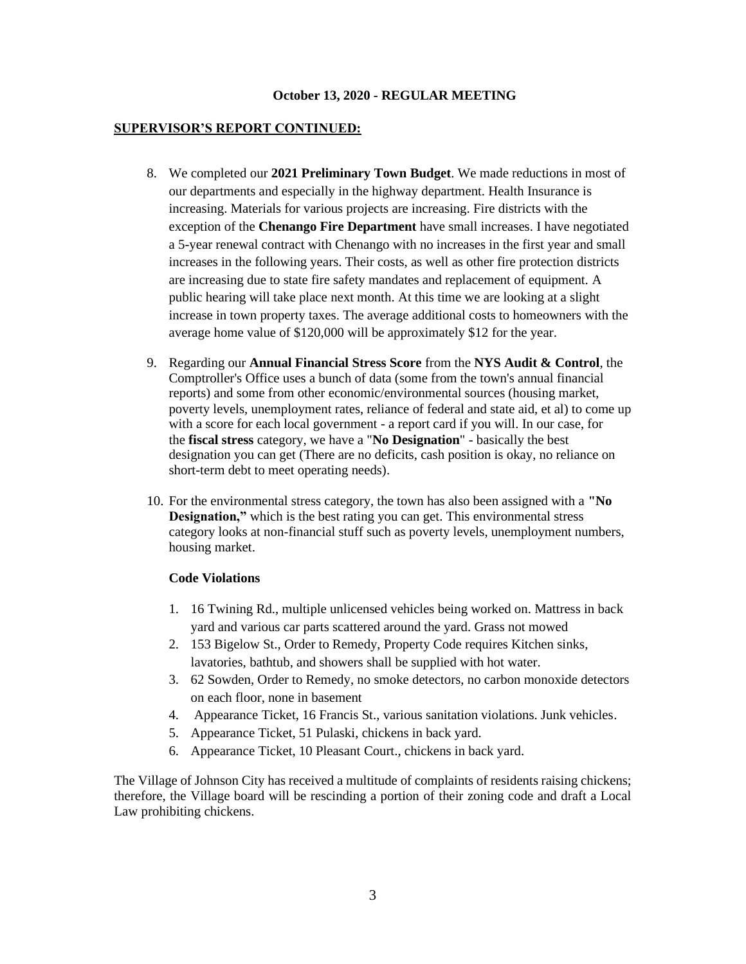### **SUPERVISOR'S REPORT CONTINUED:**

- 8. We completed our **2021 Preliminary Town Budget**. We made reductions in most of our departments and especially in the highway department. Health Insurance is increasing. Materials for various projects are increasing. Fire districts with the exception of the **Chenango Fire Department** have small increases. I have negotiated a 5-year renewal contract with Chenango with no increases in the first year and small increases in the following years. Their costs, as well as other fire protection districts are increasing due to state fire safety mandates and replacement of equipment. A public hearing will take place next month. At this time we are looking at a slight increase in town property taxes. The average additional costs to homeowners with the average home value of \$120,000 will be approximately \$12 for the year.
- 9. Regarding our **Annual Financial Stress Score** from the **NYS Audit & Control**, the Comptroller's Office uses a bunch of data (some from the town's annual financial reports) and some from other economic/environmental sources (housing market, poverty levels, unemployment rates, reliance of federal and state aid, et al) to come up with a score for each local government - a report card if you will. In our case, for the **fiscal stress** category, we have a "**No Designation**" - basically the best designation you can get (There are no deficits, cash position is okay, no reliance on short-term debt to meet operating needs).
- 10. For the environmental stress category, the town has also been assigned with a **"No Designation,"** which is the best rating you can get. This environmental stress category looks at non-financial stuff such as poverty levels, unemployment numbers, housing market.

#### **Code Violations**

- 1. 16 Twining Rd., multiple unlicensed vehicles being worked on. Mattress in back yard and various car parts scattered around the yard. Grass not mowed
- 2. 153 Bigelow St., Order to Remedy, Property Code requires Kitchen sinks, lavatories, bathtub, and showers shall be supplied with hot water.
- 3. 62 Sowden, Order to Remedy, no smoke detectors, no carbon monoxide detectors on each floor, none in basement
- 4. Appearance Ticket, 16 Francis St., various sanitation violations. Junk vehicles.
- 5. Appearance Ticket, 51 Pulaski, chickens in back yard.
- 6. Appearance Ticket, 10 Pleasant Court., chickens in back yard.

The Village of Johnson City has received a multitude of complaints of residents raising chickens; therefore, the Village board will be rescinding a portion of their zoning code and draft a Local Law prohibiting chickens.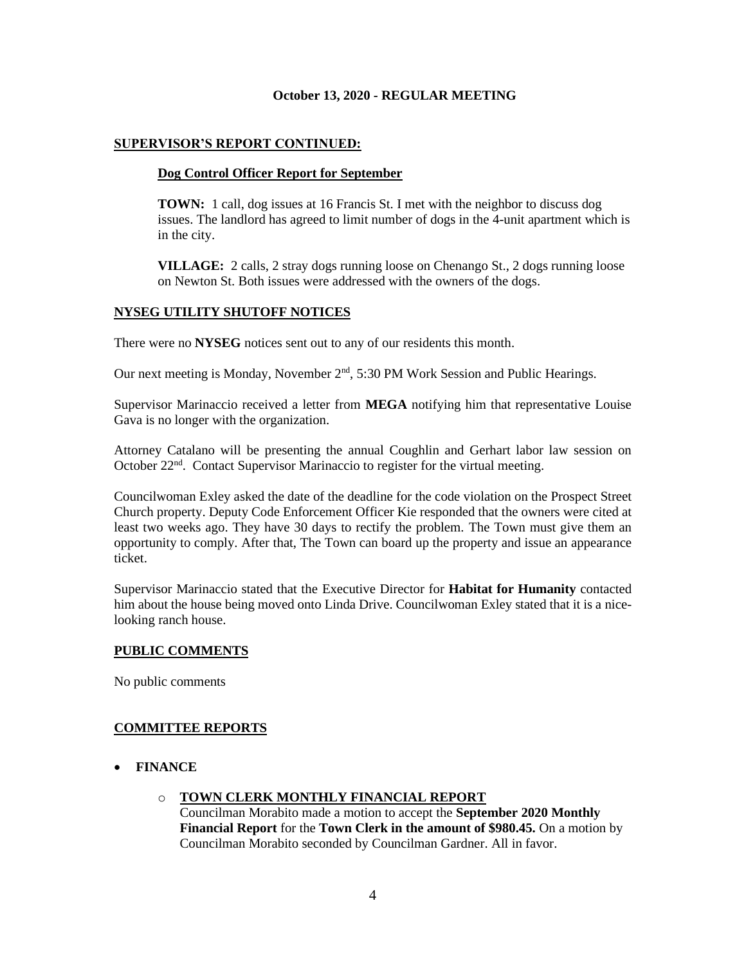## **SUPERVISOR'S REPORT CONTINUED:**

## **Dog Control Officer Report for September**

**TOWN:** 1 call, dog issues at 16 Francis St. I met with the neighbor to discuss dog issues. The landlord has agreed to limit number of dogs in the 4-unit apartment which is in the city.

**VILLAGE:** 2 calls, 2 stray dogs running loose on Chenango St., 2 dogs running loose on Newton St. Both issues were addressed with the owners of the dogs.

## **NYSEG UTILITY SHUTOFF NOTICES**

There were no **NYSEG** notices sent out to any of our residents this month.

Our next meeting is Monday, November  $2<sup>nd</sup>$ , 5:30 PM Work Session and Public Hearings.

Supervisor Marinaccio received a letter from **MEGA** notifying him that representative Louise Gava is no longer with the organization.

Attorney Catalano will be presenting the annual Coughlin and Gerhart labor law session on October 22<sup>nd</sup>. Contact Supervisor Marinaccio to register for the virtual meeting.

Councilwoman Exley asked the date of the deadline for the code violation on the Prospect Street Church property. Deputy Code Enforcement Officer Kie responded that the owners were cited at least two weeks ago. They have 30 days to rectify the problem. The Town must give them an opportunity to comply. After that, The Town can board up the property and issue an appearance ticket.

Supervisor Marinaccio stated that the Executive Director for **Habitat for Humanity** contacted him about the house being moved onto Linda Drive. Councilwoman Exley stated that it is a nicelooking ranch house.

## **PUBLIC COMMENTS**

No public comments

# **COMMITTEE REPORTS**

- **FINANCE**
	- o **TOWN CLERK MONTHLY FINANCIAL REPORT** Councilman Morabito made a motion to accept the **September 2020 Monthly Financial Report** for the **Town Clerk in the amount of \$980.45.** On a motion by Councilman Morabito seconded by Councilman Gardner. All in favor.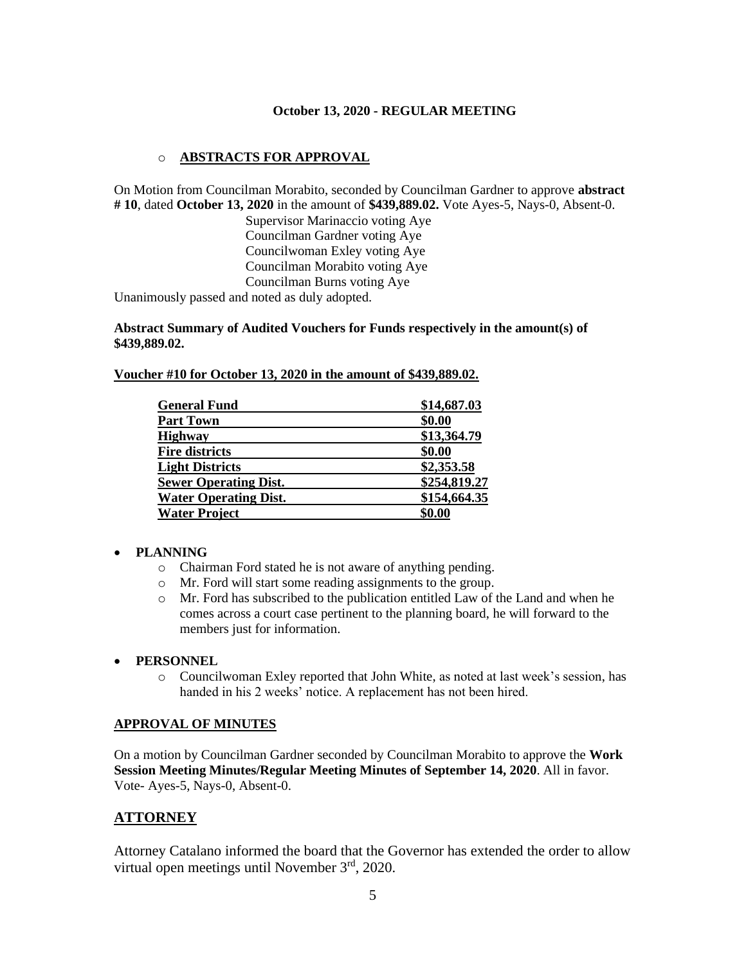## o **ABSTRACTS FOR APPROVAL**

On Motion from Councilman Morabito, seconded by Councilman Gardner to approve **abstract # 10**, dated **October 13, 2020** in the amount of **\$439,889.02.** Vote Ayes-5, Nays-0, Absent-0.

> Supervisor Marinaccio voting Aye Councilman Gardner voting Aye Councilwoman Exley voting Aye Councilman Morabito voting Aye Councilman Burns voting Aye

Unanimously passed and noted as duly adopted.

### **Abstract Summary of Audited Vouchers for Funds respectively in the amount(s) of \$439,889.02.**

**Voucher #10 for October 13, 2020 in the amount of \$439,889.02.** 

| <b>General Fund</b>          | \$14,687.03  |
|------------------------------|--------------|
| <b>Part Town</b>             | \$0.00       |
| <b>Highway</b>               | \$13,364.79  |
| <b>Fire districts</b>        | \$0.00       |
| <b>Light Districts</b>       | \$2,353.58   |
| <b>Sewer Operating Dist.</b> | \$254,819.27 |
| <b>Water Operating Dist.</b> | \$154,664.35 |
| <b>Water Project</b>         | \$0.00       |

## • **PLANNING**

- o Chairman Ford stated he is not aware of anything pending.
- o Mr. Ford will start some reading assignments to the group.
- $\circ$  Mr. Ford has subscribed to the publication entitled Law of the Land and when he comes across a court case pertinent to the planning board, he will forward to the members just for information.

#### • **PERSONNEL**

o Councilwoman Exley reported that John White, as noted at last week's session, has handed in his 2 weeks' notice. A replacement has not been hired.

### **APPROVAL OF MINUTES**

On a motion by Councilman Gardner seconded by Councilman Morabito to approve the **Work Session Meeting Minutes/Regular Meeting Minutes of September 14, 2020**. All in favor. Vote- Ayes-5, Nays-0, Absent-0.

# **ATTORNEY**

Attorney Catalano informed the board that the Governor has extended the order to allow virtual open meetings until November 3rd, 2020.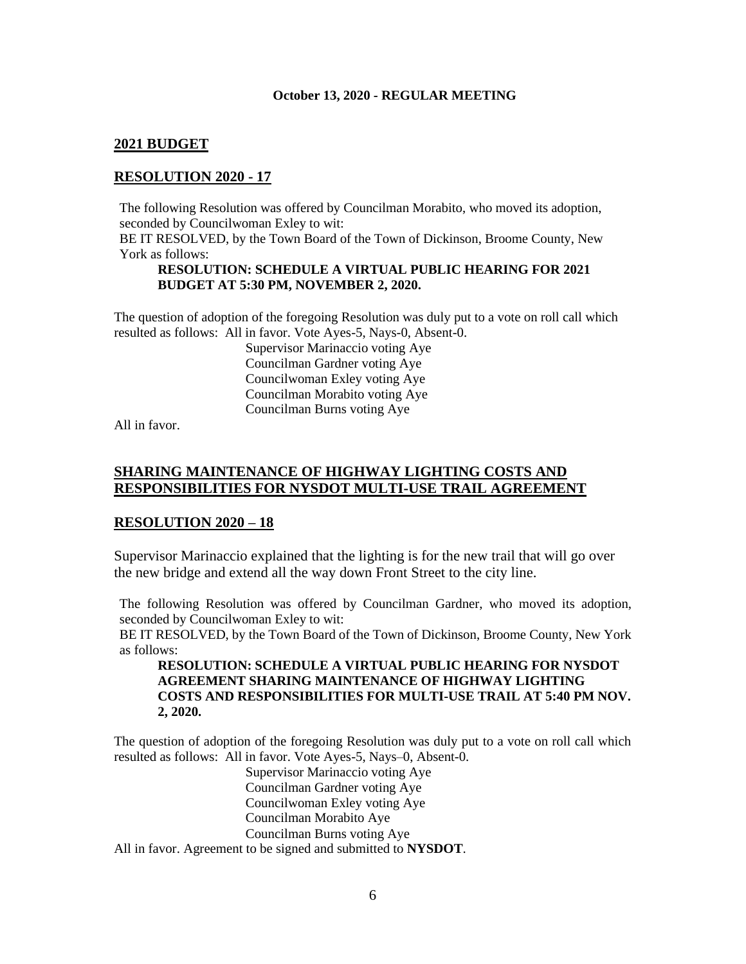# **2021 BUDGET**

# **RESOLUTION 2020 - 17**

The following Resolution was offered by Councilman Morabito, who moved its adoption, seconded by Councilwoman Exley to wit:

BE IT RESOLVED, by the Town Board of the Town of Dickinson, Broome County, New York as follows:

### **RESOLUTION: SCHEDULE A VIRTUAL PUBLIC HEARING FOR 2021 BUDGET AT 5:30 PM, NOVEMBER 2, 2020.**

The question of adoption of the foregoing Resolution was duly put to a vote on roll call which resulted as follows: All in favor. Vote Ayes-5, Nays-0, Absent-0.

> Supervisor Marinaccio voting Aye Councilman Gardner voting Aye Councilwoman Exley voting Aye Councilman Morabito voting Aye Councilman Burns voting Aye

All in favor.

## **SHARING MAINTENANCE OF HIGHWAY LIGHTING COSTS AND RESPONSIBILITIES FOR NYSDOT MULTI-USE TRAIL AGREEMENT**

## **RESOLUTION 2020 – 18**

Supervisor Marinaccio explained that the lighting is for the new trail that will go over the new bridge and extend all the way down Front Street to the city line.

The following Resolution was offered by Councilman Gardner, who moved its adoption, seconded by Councilwoman Exley to wit:

BE IT RESOLVED, by the Town Board of the Town of Dickinson, Broome County, New York as follows:

**RESOLUTION: SCHEDULE A VIRTUAL PUBLIC HEARING FOR NYSDOT AGREEMENT SHARING MAINTENANCE OF HIGHWAY LIGHTING COSTS AND RESPONSIBILITIES FOR MULTI-USE TRAIL AT 5:40 PM NOV. 2, 2020.**

The question of adoption of the foregoing Resolution was duly put to a vote on roll call which resulted as follows: All in favor. Vote Ayes-5, Nays–0, Absent-0.

Supervisor Marinaccio voting Aye Councilman Gardner voting Aye Councilwoman Exley voting Aye Councilman Morabito Aye Councilman Burns voting Aye All in favor. Agreement to be signed and submitted to **NYSDOT**.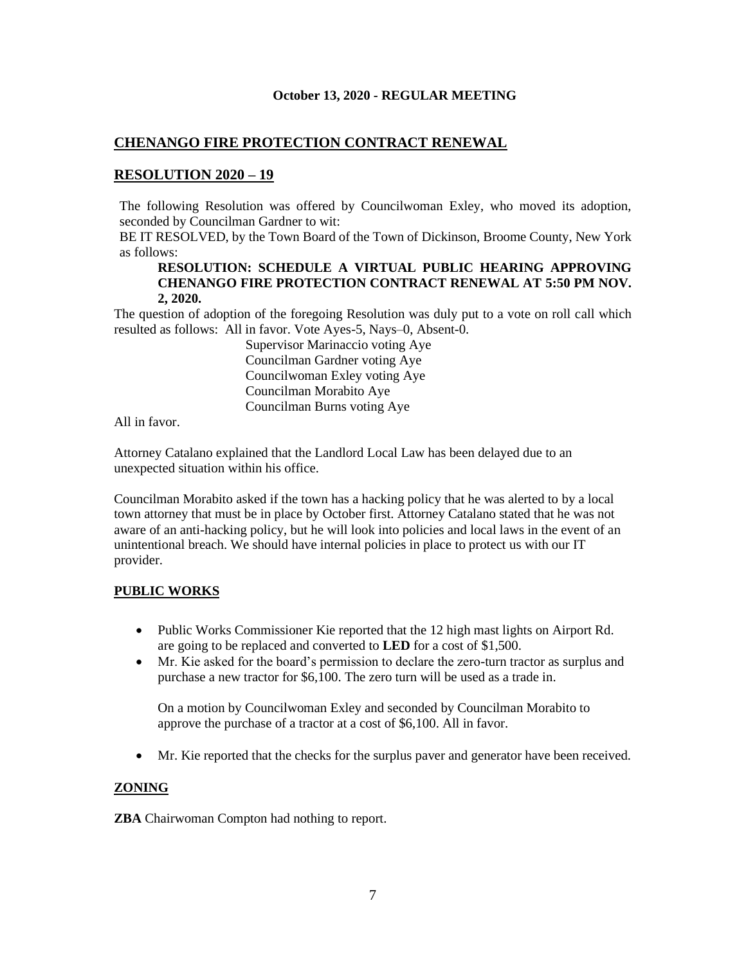## **CHENANGO FIRE PROTECTION CONTRACT RENEWAL**

## **RESOLUTION 2020 – 19**

The following Resolution was offered by Councilwoman Exley, who moved its adoption, seconded by Councilman Gardner to wit:

BE IT RESOLVED, by the Town Board of the Town of Dickinson, Broome County, New York as follows:

### **RESOLUTION: SCHEDULE A VIRTUAL PUBLIC HEARING APPROVING CHENANGO FIRE PROTECTION CONTRACT RENEWAL AT 5:50 PM NOV. 2, 2020.**

The question of adoption of the foregoing Resolution was duly put to a vote on roll call which resulted as follows: All in favor. Vote Ayes-5, Nays–0, Absent-0.

> Supervisor Marinaccio voting Aye Councilman Gardner voting Aye Councilwoman Exley voting Aye Councilman Morabito Aye Councilman Burns voting Aye

All in favor.

Attorney Catalano explained that the Landlord Local Law has been delayed due to an unexpected situation within his office.

Councilman Morabito asked if the town has a hacking policy that he was alerted to by a local town attorney that must be in place by October first. Attorney Catalano stated that he was not aware of an anti-hacking policy, but he will look into policies and local laws in the event of an unintentional breach. We should have internal policies in place to protect us with our IT provider.

## **PUBLIC WORKS**

- Public Works Commissioner Kie reported that the 12 high mast lights on Airport Rd. are going to be replaced and converted to **LED** for a cost of \$1,500.
- Mr. Kie asked for the board's permission to declare the zero-turn tractor as surplus and purchase a new tractor for \$6,100. The zero turn will be used as a trade in.

On a motion by Councilwoman Exley and seconded by Councilman Morabito to approve the purchase of a tractor at a cost of \$6,100. All in favor.

• Mr. Kie reported that the checks for the surplus paver and generator have been received.

## **ZONING**

**ZBA** Chairwoman Compton had nothing to report.